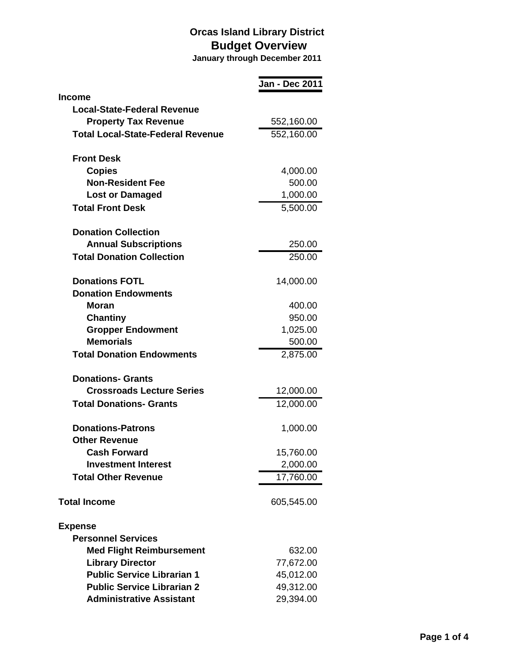|                                             | <b>Jan - Dec 2011</b> |
|---------------------------------------------|-----------------------|
| <b>Income</b>                               |                       |
| <b>Local-State-Federal Revenue</b>          |                       |
| <b>Property Tax Revenue</b>                 | 552,160.00            |
| <b>Total Local-State-Federal Revenue</b>    | 552,160.00            |
| <b>Front Desk</b>                           |                       |
| <b>Copies</b>                               |                       |
| <b>Non-Resident Fee</b>                     | 4,000.00<br>500.00    |
| <b>Lost or Damaged</b>                      | 1,000.00              |
| <b>Total Front Desk</b>                     | 5,500.00              |
|                                             |                       |
| <b>Donation Collection</b>                  |                       |
| <b>Annual Subscriptions</b>                 | 250.00                |
| <b>Total Donation Collection</b>            | 250.00                |
| <b>Donations FOTL</b>                       | 14,000.00             |
| <b>Donation Endowments</b>                  |                       |
| <b>Moran</b>                                | 400.00                |
| <b>Chantiny</b>                             | 950.00                |
| <b>Gropper Endowment</b>                    | 1,025.00              |
| <b>Memorials</b>                            | 500.00                |
| <b>Total Donation Endowments</b>            | 2,875.00              |
| <b>Donations- Grants</b>                    |                       |
| <b>Crossroads Lecture Series</b>            | 12,000.00             |
| <b>Total Donations- Grants</b>              | 12,000.00             |
|                                             |                       |
| <b>Donations-Patrons</b>                    | 1,000.00              |
| <b>Other Revenue</b><br><b>Cash Forward</b> |                       |
| <b>Investment Interest</b>                  | 15,760.00             |
|                                             | 2,000.00              |
| <b>Total Other Revenue</b>                  | 17,760.00             |
| <b>Total Income</b>                         | 605,545.00            |
| <b>Expense</b>                              |                       |
| <b>Personnel Services</b>                   |                       |
| <b>Med Flight Reimbursement</b>             | 632.00                |
| <b>Library Director</b>                     | 77,672.00             |
| <b>Public Service Librarian 1</b>           | 45,012.00             |
| <b>Public Service Librarian 2</b>           | 49,312.00             |
| <b>Administrative Assistant</b>             | 29,394.00             |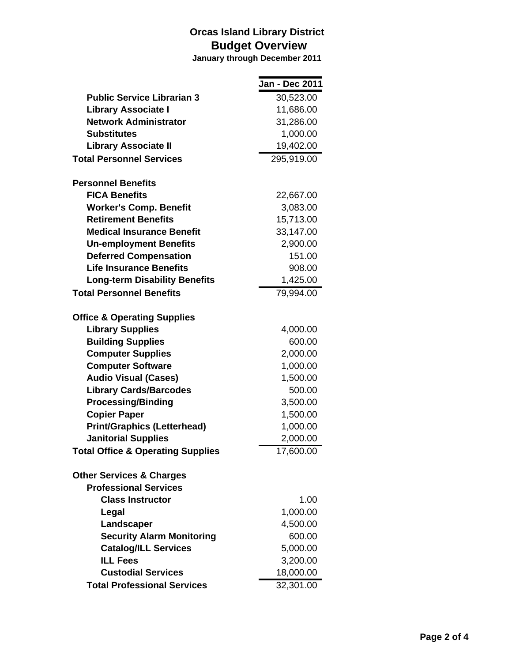|                                              | Jan - Dec 2011 |
|----------------------------------------------|----------------|
| <b>Public Service Librarian 3</b>            | 30,523.00      |
| <b>Library Associate I</b>                   | 11,686.00      |
| <b>Network Administrator</b>                 | 31,286.00      |
| <b>Substitutes</b>                           | 1,000.00       |
| <b>Library Associate II</b>                  | 19,402.00      |
| <b>Total Personnel Services</b>              | 295,919.00     |
| <b>Personnel Benefits</b>                    |                |
| <b>FICA Benefits</b>                         | 22,667.00      |
| <b>Worker's Comp. Benefit</b>                | 3,083.00       |
| <b>Retirement Benefits</b>                   | 15,713.00      |
| <b>Medical Insurance Benefit</b>             | 33,147.00      |
| <b>Un-employment Benefits</b>                | 2,900.00       |
| <b>Deferred Compensation</b>                 | 151.00         |
| <b>Life Insurance Benefits</b>               | 908.00         |
| <b>Long-term Disability Benefits</b>         | 1,425.00       |
| <b>Total Personnel Benefits</b>              | 79,994.00      |
| <b>Office &amp; Operating Supplies</b>       |                |
| <b>Library Supplies</b>                      | 4,000.00       |
| <b>Building Supplies</b>                     | 600.00         |
| <b>Computer Supplies</b>                     | 2,000.00       |
| <b>Computer Software</b>                     | 1,000.00       |
| <b>Audio Visual (Cases)</b>                  | 1,500.00       |
| <b>Library Cards/Barcodes</b>                | 500.00         |
| <b>Processing/Binding</b>                    | 3,500.00       |
| <b>Copier Paper</b>                          | 1,500.00       |
| <b>Print/Graphics (Letterhead)</b>           | 1,000.00       |
| <b>Janitorial Supplies</b>                   | 2,000.00       |
| <b>Total Office &amp; Operating Supplies</b> | 17,600.00      |
| <b>Other Services &amp; Charges</b>          |                |
| <b>Professional Services</b>                 |                |
| <b>Class Instructor</b>                      | 1.00           |
| Legal                                        | 1,000.00       |
| Landscaper                                   | 4,500.00       |
| <b>Security Alarm Monitoring</b>             | 600.00         |
| <b>Catalog/ILL Services</b>                  | 5,000.00       |
| <b>ILL Fees</b>                              | 3,200.00       |
| <b>Custodial Services</b>                    | 18,000.00      |
| <b>Total Professional Services</b>           | 32,301.00      |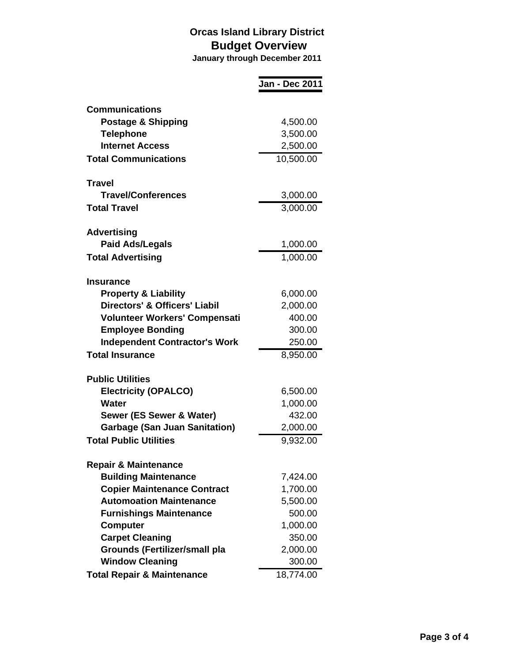|                                          | Jan - Dec 2011        |
|------------------------------------------|-----------------------|
| <b>Communications</b>                    |                       |
| <b>Postage &amp; Shipping</b>            | 4,500.00              |
| <b>Telephone</b>                         | 3,500.00              |
| <b>Internet Access</b>                   | 2,500.00              |
| <b>Total Communications</b>              | 10,500.00             |
| <b>Travel</b>                            |                       |
| <b>Travel/Conferences</b>                | 3,000.00              |
| <b>Total Travel</b>                      | 3,000.00              |
| <b>Advertising</b>                       |                       |
| <b>Paid Ads/Legals</b>                   | 1,000.00              |
| <b>Total Advertising</b>                 | $\overline{1,000.00}$ |
| <b>Insurance</b>                         |                       |
| <b>Property &amp; Liability</b>          | 6,000.00              |
| <b>Directors' &amp; Officers' Liabil</b> | 2,000.00              |
| <b>Volunteer Workers' Compensati</b>     | 400.00                |
| <b>Employee Bonding</b>                  | 300.00                |
| <b>Independent Contractor's Work</b>     | 250.00                |
| <b>Total Insurance</b>                   | 8,950.00              |
| <b>Public Utilities</b>                  |                       |
| <b>Electricity (OPALCO)</b>              | 6,500.00              |
| <b>Water</b>                             | 1,000.00              |
| Sewer (ES Sewer & Water)                 | 432.00                |
| <b>Garbage (San Juan Sanitation)</b>     | 2,000.00              |
| <b>Total Public Utilities</b>            | 9,932.00              |
| <b>Repair &amp; Maintenance</b>          |                       |
| <b>Building Maintenance</b>              | 7,424.00              |
| <b>Copier Maintenance Contract</b>       | 1,700.00              |
| <b>Automoation Maintenance</b>           | 5,500.00              |
| <b>Furnishings Maintenance</b>           | 500.00                |
| <b>Computer</b>                          | 1,000.00              |
| <b>Carpet Cleaning</b>                   | 350.00                |
| <b>Grounds (Fertilizer/small pla</b>     | 2,000.00              |
| <b>Window Cleaning</b>                   | 300.00                |
| <b>Total Repair &amp; Maintenance</b>    | 18,774.00             |